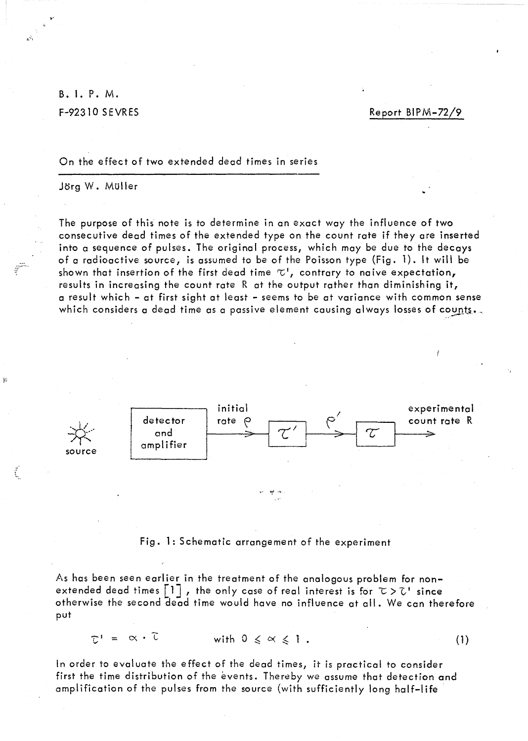B. I. P. M. **F-92310 SEVRES** 

Report BIPM-72/9

 $(1)$ 

On the effect of two extended dead times in series

Jörg W. Müller

The purpose of this note is to determine in an exact way the influence of two consecutive dead times of the extended type on the count rate if they are inserted into a sequence of pulses. The original process, which may be due to the decays of a radioactive source, is assumed to be of the Poisson type (Fig. 1). It will be shown that insertion of the first dead time  $\tau$ , contrary to naive expectation, results in increasing the count rate  $R$  at the output rather than diminishing it, a result which - at first sight at least - seems to be at variance with common sense which considers a dead time as a passive element causing always losses of counts.



Fig. 1: Schematic arrangement of the experiment

As has been seen earlier in the treatment of the analogous problem for nonextended dead times  $\lfloor 1 \rfloor$ , the only case of real interest is for  $\tau > \tau$  since otherwise the second dead time would have no influence at all. We can therefore put

 $T^1 = \alpha \cdot \tilde{L}$ 

with  $0 \leq \alpha \leq 1$ .

In order to evaluate the effect of the dead times, it is practical to consider first the time distribution of the events. Thereby we assume that detection and amplification of the pulses from the source (with sufficiently long half-life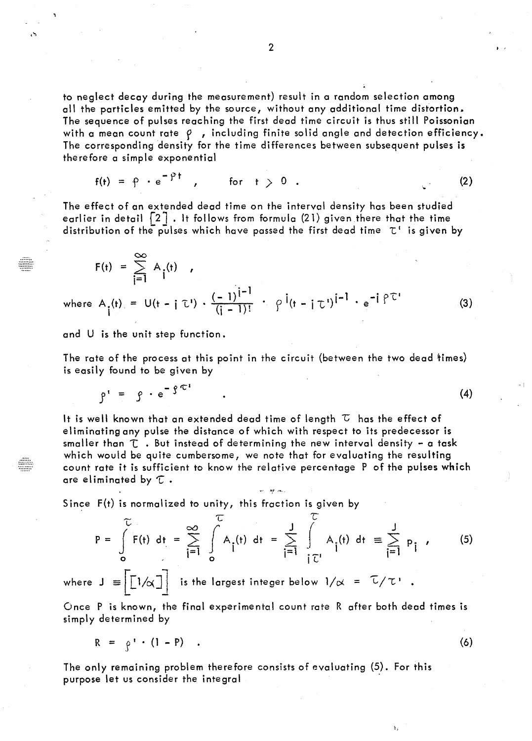to neglect decay during the measurement) result in a random selection among all the particles emitted by the source, without any additional time distortion. The sequence of pulses reaching the first dead time circuit is thus still Poissonian with a mean count rate  $\rho$ , including finite solid angle and detection efficiency. The corresponding density for the time differences between subsequent pulses is therefore a simple exponential

$$
f(t) = \rho \cdot e^{-\rho t} \qquad \text{for} \qquad t > 0 \qquad (2)
$$

The effect of on extended dead time on the interval density has been studied earlier in detail  $\{2\}$  . It follows from formula (21) given there that the time distribution of the pulses which have passed the first dead time  $\tau'$  is given by

$$
F(t) = \sum_{i=1}^{\infty} A_i(t) ,
$$
  
where  $A_i(t) = U(t - i \tau') \cdot \frac{(-1)^{i-1}}{(i-1)!} \cdot \rho^{i}(t - i \tau')^{i-1} \cdot e^{-i \rho \tau'}$  (3)

and U is the unit step function.

The rate of the process at this point in the circuit (between the two dead times) is easily found to be given by

$$
\rho' = \rho \cdot e^{-\int \mathcal{C}^1} \tag{4}
$$

It is well known that an extended dead time of length  $\tau$  has the effect of el iminating any pulse the distance of which with respect to its predecessor is smaller than  $\tau$  . But instead of determining the new interval density - a task which would be quite cumbersome, we note that for evaluating the resulting count rote it is sufficient to know the relative percentage P of the pulses which are eliminated by  $\tau$  .

" ~'. , ....

Since  $F(t)$  is normalized to unity, this fraction is given by

$$
P = \int_{0}^{\infty} F(t) dt = \sum_{i=1}^{\infty} \int_{0}^{\infty} A_{i}(t) dt = \sum_{i=1}^{J} \int_{i}^{\infty} A_{i}(t) dt \equiv \sum_{i=1}^{J} P_{i}
$$
 (5)

where  $J = |[1/\alpha]|$  is the largest integer below  $1/\alpha = \frac{\tau}{\tau}$ .

Once P is known, the final experimental count rate R after both dead times is simply determined by

$$
R = \rho' \cdot (1 - P) \quad . \tag{6}
$$

The only remoining problem therefore consists of evaluoting (5). For this purpose let us consider the integral

. '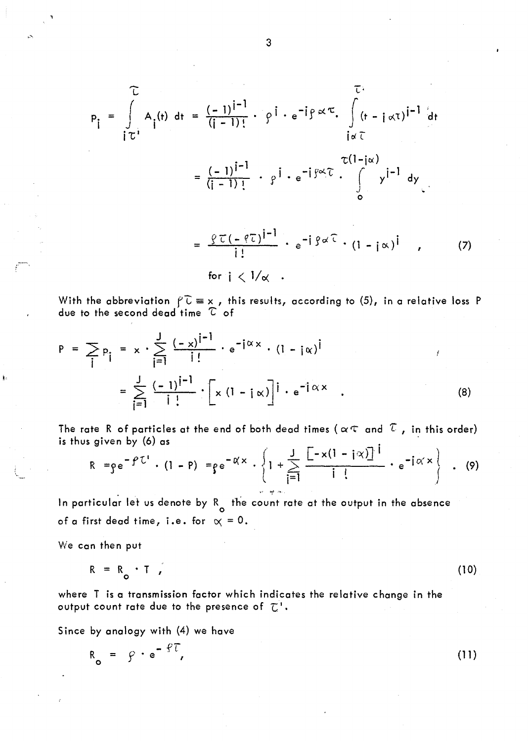$$
p_{\mathbf{j}} = \int_{\mathbf{i} \in \mathcal{I}} A_{\mathbf{j}}(\mathbf{t}) d\mathbf{t} = \frac{(-1)^{|\mathbf{i} - \mathbf{l}|}}{(|\mathbf{i} - \mathbf{l}|)!} \cdot \rho^{\mathbf{i}} \cdot e^{-\mathbf{i} \beta} \propto \mathcal{I}.
$$
\n
$$
= \frac{(-1)^{|\mathbf{i} - \mathbf{l}|}}{(|\mathbf{i} - \mathbf{l}|)!} \cdot \rho^{\mathbf{i}} \cdot e^{-\mathbf{i} \beta} \propto \mathcal{I}.
$$
\n
$$
= \frac{(-1)^{|\mathbf{i} - \mathbf{l}|}}{(|\mathbf{i} - \mathbf{l}|)!} \cdot \rho^{\mathbf{i}} \cdot e^{-\mathbf{i} \beta} \propto \mathcal{I}.
$$
\n
$$
= \frac{\rho \mathcal{I}(-\rho \mathcal{I})^{|\mathbf{i} - \mathbf{l}|}}{|\mathbf{i}|} \cdot e^{-\mathbf{i} \beta} \propto \mathcal{I} \cdot (1 - \mathbf{i} \propto)^{\mathbf{i}} \tag{7}
$$

for  $j < 1/\alpha$ .

With the abbreviation  $f\overline{C} \equiv x$ , this results, according to (5), in a relative loss P due to the second dead time  $C$  of

$$
P = \sum_{i} p_{i} = x \cdot \sum_{i=1}^{J} \frac{(-x)^{i-1}}{i!} \cdot e^{-i\alpha x} \cdot (1 - i\alpha)^{i}
$$
  

$$
= \sum_{i=1}^{J} \frac{(-1)^{i-1}}{i!} \cdot \left[ x (1 - i\alpha) \right]^{i} \cdot e^{-i\alpha x}
$$
 (8)

The rate R of particles at the end of both dead times (  $\alpha \in \mathfrak{m}$  and  $\mathcal T$  , in this order) is thus given by (6) as

$$
R = \rho e^{-\beta U} \cdot (1 - P) = \rho e^{-\alpha x} \cdot \left\{ 1 + \sum_{j=1}^{J} \frac{1 - x(1 - i\alpha) \cdot 1}{j!} \cdot e^{-i\alpha x} \right\} . \tag{9}
$$

In particular let us denote by  $R_{\text{o}}$  the count rate at the output in the absence of a first dead time, i.e. for  $x = 0$ .

We can then put

$$
R = R_{\circ} \cdot T \tag{10}
$$

where T is a transmission factor which indicates the relative change in the output count rate due to the presence of  $\tau$ '.

Since by analogy with (4) we have

$$
R_o = \beta \cdot e^{-\beta T}, \qquad (11)
$$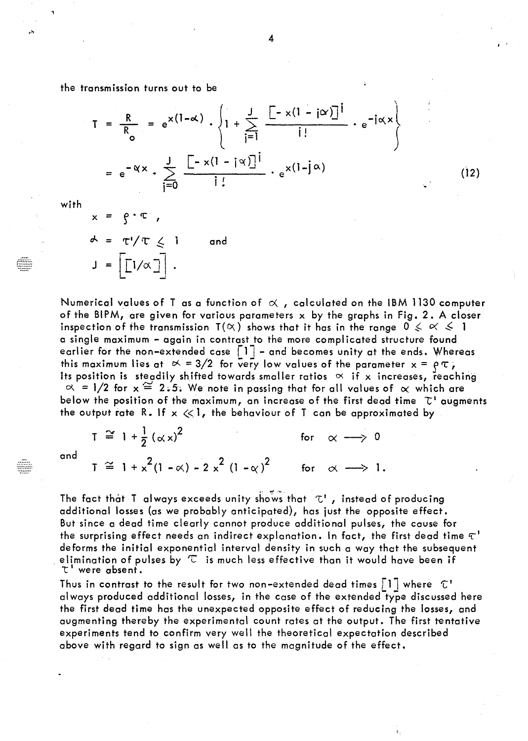the transmission turns out to be

$$
T = \frac{R}{R_o} = e^{x(1-\alpha)} \cdot \left\{ 1 + \sum_{i=1}^{J} \frac{[-x(1-i\alpha)]^i}{i!} \cdot e^{-i\alpha x} \right\}
$$
  
=  $e^{-\alpha x} \cdot \sum_{i=0}^{J} \frac{[-x(1-i\alpha)]^i}{i!} \cdot e^{x(1-i\alpha)}$  (12)

with

and

 $x = \rho \cdot \tau$ ,  $\star = \tau'/\tau \leq 1$ and  $J = \left[ \begin{bmatrix} 1/\alpha \end{bmatrix} \right]$ .

Numerical values of T as a function of  $\alpha$ , calculated on the IBM 1130 computer of the BIPM, are given for various parameters  $x$  by the graphs in Fig. 2. A closer inspection of the transmission  $T(\alpha)$  shows that it has in the range  $0 \leq \alpha \leq 1$ a single maximum - again in contrast to the more complicated structure found earlier for the non-extended case  $\lceil 1 \rceil$  - and becomes unity at the ends. Whereas this maximum lies at  $\alpha = 3/2$  for very low values of the parameter  $x = \rho \tau$ , Its position is steadily shifted towards smaller ratios  $\alpha$  if x increases, reaching  $\alpha$  = 1/2 for  $x \approx 2.5$ . We note in passing that for all values of  $\alpha$  which are below the position of the maximum, an increase of the first dead time  $\mathcal{T}^1$  augments the output rate R. If  $x \ll 1$ , the behaviour of T can be approximated by

 $T \approx 1 + \frac{1}{2} (\propto x)^2$ for  $\alpha \longrightarrow 0$  $T \cong 1 + x^2(1 - \alpha) - 2x^2(1 - \alpha)^2$  for  $\alpha \longrightarrow 1$ .

The fact that T always exceeds unity shows that  $\mathcal{L}^1$ , instead of producing additional losses (as we probably anticipated), has just the opposite effect. But since a dead time clearly cannot produce additional pulses, the cause for the surprising effect needs an indirect explanation. In fact, the first dead time  $\tau^*$ deforms the initial exponential interval density in such a way that the subsequent elimination of pulses by  $\mathbb C$  is much less effective than it would have been if  $\tau$  were absent.

Thus in contrast to the result for two non-extended dead times  $\lceil 1 \rceil$  where  $\lceil 1 \rceil$ always produced additional losses, in the case of the extended type discussed here the first dead time has the unexpected opposite effect of reducing the losses, and augmenting thereby the experimental count rates at the output. The first tentative experiments tend to confirm very well the theoretical expectation described above with regard to sign as well as to the magnitude of the effect.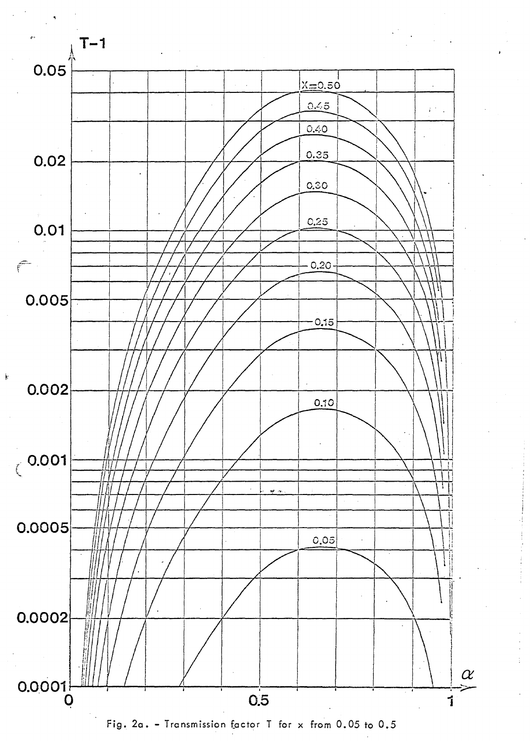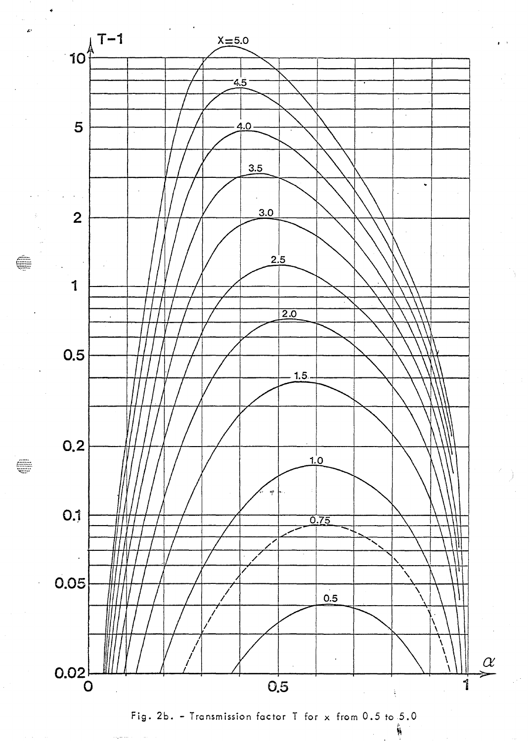

€

Fig. 2b. - Transmission factor T for  $\times$  from 0.5 to 5.0

 $\ddot{\phi}$